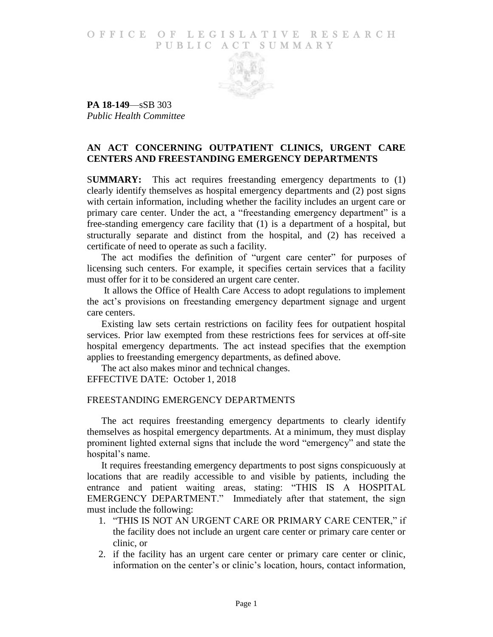### O F FICE OF LEGISLATIVE RESEARCH PUBLIC ACT SUMMARY



**PA 18-149**—sSB 303 *Public Health Committee*

# **AN ACT CONCERNING OUTPATIENT CLINICS, URGENT CARE CENTERS AND FREESTANDING EMERGENCY DEPARTMENTS**

S**UMMARY:** This act requires freestanding emergency departments to (1) clearly identify themselves as hospital emergency departments and (2) post signs with certain information, including whether the facility includes an urgent care or primary care center. Under the act, a "freestanding emergency department" is a free-standing emergency care facility that (1) is a department of a hospital, but structurally separate and distinct from the hospital, and (2) has received a certificate of need to operate as such a facility.

The act modifies the definition of "urgent care center" for purposes of licensing such centers. For example, it specifies certain services that a facility must offer for it to be considered an urgent care center.

It allows the Office of Health Care Access to adopt regulations to implement the act's provisions on freestanding emergency department signage and urgent care centers.

Existing law sets certain restrictions on facility fees for outpatient hospital services. Prior law exempted from these restrictions fees for services at off-site hospital emergency departments. The act instead specifies that the exemption applies to freestanding emergency departments, as defined above.

The act also makes minor and technical changes. EFFECTIVE DATE: October 1, 2018

### FREESTANDING EMERGENCY DEPARTMENTS

The act requires freestanding emergency departments to clearly identify themselves as hospital emergency departments. At a minimum, they must display prominent lighted external signs that include the word "emergency" and state the hospital's name.

It requires freestanding emergency departments to post signs conspicuously at locations that are readily accessible to and visible by patients, including the entrance and patient waiting areas, stating: "THIS IS A HOSPITAL EMERGENCY DEPARTMENT." Immediately after that statement, the sign must include the following:

- 1. "THIS IS NOT AN URGENT CARE OR PRIMARY CARE CENTER," if the facility does not include an urgent care center or primary care center or clinic, or
- 2. if the facility has an urgent care center or primary care center or clinic, information on the center's or clinic's location, hours, contact information,